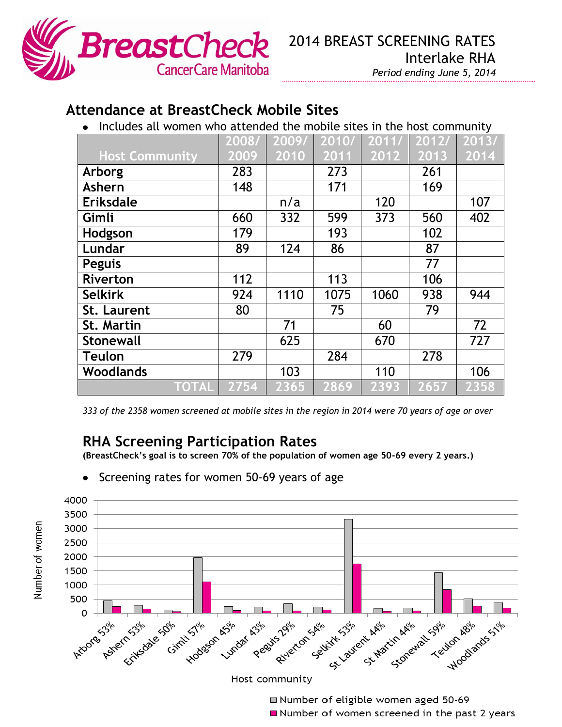

## **Attendance at BreastCheck Mobile Sites**

 $\bullet$  Includes all women who attended the mobile sites in the host community

|                       | 2008/ | 2009/ | 2010/ | 2011/ | 2012/ | 2013/ |
|-----------------------|-------|-------|-------|-------|-------|-------|
| <b>Host Community</b> | 2009  | 2010  | 2011  | 2012  | 2013  | 2014  |
| Arborg                | 283   |       | 273   |       | 261   |       |
| Ashern                | 148   |       | 171   |       | 169   |       |
| <b>Eriksdale</b>      |       | n/a   |       | 120   |       | 107   |
| Gimli                 | 660   | 332   | 599   | 373   | 560   | 402   |
| Hodgson               | 179   |       | 193   |       | 102   |       |
| Lundar                | 89    | 124   | 86    |       | 87    |       |
| <b>Peguis</b>         |       |       |       |       | 77    |       |
| <b>Riverton</b>       | 112   |       | 113   |       | 106   |       |
| <b>Selkirk</b>        | 924   | 1110  | 1075  | 1060  | 938   | 944   |
| <b>St. Laurent</b>    | 80    |       | 75    |       | 79    |       |
| <b>St. Martin</b>     |       | 71    |       | 60    |       | 72    |
| <b>Stonewall</b>      |       | 625   |       | 670   |       | 727   |
| <b>Teulon</b>         | 279   |       | 284   |       | 278   |       |
| <b>Woodlands</b>      |       | 103   |       | 110   |       | 106   |
| TOTAL                 | 2754  | 2365  | 2869  | 2393  | 2657  | 2358  |

*333 of the 2358 women screened at mobile sites in the region in 2014 were 70 years of age or over*

## **RHA Screening Participation Rates**

**(BreastCheck's goal is to screen 70% of the population of women age 50-69 every 2 years.)**

- 4000 3500 3000 2500 2000 1500 1000 500  $\Omega$ Arizons Assie Estate Sole Stratistle Assie Assie Riverton Selivity S3% and Marcin ARIO 199% ABIO 1996 51% Peasits 29th Host community
- Screening rates for women 50-69 years of age
- Number of eligible women aged 50-69
- Number of women screened in the past 2 years